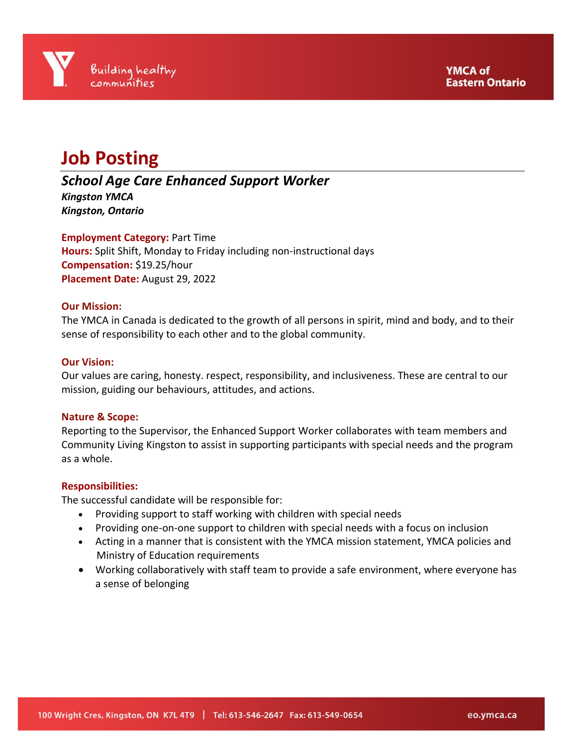

# **Job Posting**

# *School Age Care Enhanced Support Worker*

*Kingston YMCA Kingston, Ontario*

**Employment Category:** Part Time **Hours:** Split Shift, Monday to Friday including non-instructional days **Compensation:** \$19.25/hour **Placement Date:** August 29, 2022

# **Our Mission:**

The YMCA in Canada is dedicated to the growth of all persons in spirit, mind and body, and to their sense of responsibility to each other and to the global community.

### **Our Vision:**

Our values are caring, honesty. respect, responsibility, and inclusiveness. These are central to our mission, guiding our behaviours, attitudes, and actions.

# **Nature & Scope:**

Reporting to the Supervisor, the Enhanced Support Worker collaborates with team members and Community Living Kingston to assist in supporting participants with special needs and the program as a whole.

#### **Responsibilities:**

The successful candidate will be responsible for:

- Providing support to staff working with children with special needs
- Providing one-on-one support to children with special needs with a focus on inclusion
- Acting in a manner that is consistent with the YMCA mission statement, YMCA policies and Ministry of Education requirements
- Working collaboratively with staff team to provide a safe environment, where everyone has a sense of belonging